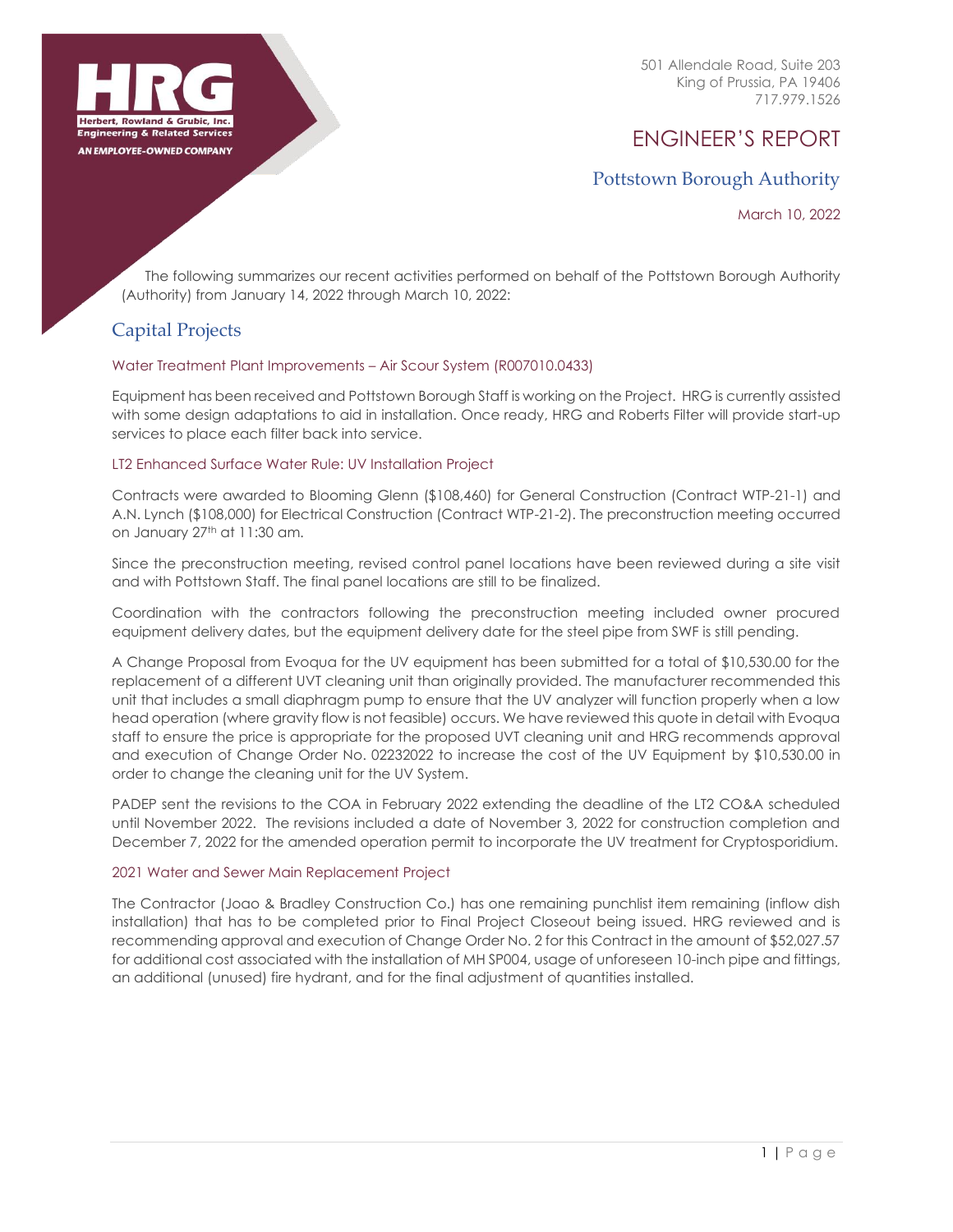

501 Allendale Road, Suite 203 King of Prussia, PA 19406 717.979.1526

# ENGINEER'S REPORT

# Pottstown Borough Authority

March 10, 2022

The following summarizes our recent activities performed on behalf of the Pottstown Borough Authority (Authority) from January 14, 2022 through March 10, 2022:

# Capital Projects

### Water Treatment Plant Improvements – Air Scour System (R007010.0433)

Equipment has been received and Pottstown Borough Staff is working on the Project. HRG is currently assisted with some design adaptations to aid in installation. Once ready, HRG and Roberts Filter will provide start-up services to place each filter back into service.

### LT2 Enhanced Surface Water Rule: UV Installation Project

Contracts were awarded to Blooming Glenn (\$108,460) for General Construction (Contract WTP-21-1) and A.N. Lynch (\$108,000) for Electrical Construction (Contract WTP-21-2). The preconstruction meeting occurred on January 27<sup>th</sup> at 11:30 am.

Since the preconstruction meeting, revised control panel locations have been reviewed during a site visit and with Pottstown Staff. The final panel locations are still to be finalized.

Coordination with the contractors following the preconstruction meeting included owner procured equipment delivery dates, but the equipment delivery date for the steel pipe from SWF is still pending.

A Change Proposal from Evoqua for the UV equipment has been submitted for a total of \$10,530.00 for the replacement of a different UVT cleaning unit than originally provided. The manufacturer recommended this unit that includes a small diaphragm pump to ensure that the UV analyzer will function properly when a low head operation (where gravity flow is not feasible) occurs. We have reviewed this quote in detail with Evoqua staff to ensure the price is appropriate for the proposed UVT cleaning unit and HRG recommends approval and execution of Change Order No. 02232022 to increase the cost of the UV Equipment by \$10,530.00 in order to change the cleaning unit for the UV System.

PADEP sent the revisions to the COA in February 2022 extending the deadline of the LT2 CO&A scheduled until November 2022. The revisions included a date of November 3, 2022 for construction completion and December 7, 2022 for the amended operation permit to incorporate the UV treatment for Cryptosporidium.

### 2021 Water and Sewer Main Replacement Project

The Contractor (Joao & Bradley Construction Co.) has one remaining punchlist item remaining (inflow dish installation) that has to be completed prior to Final Project Closeout being issued. HRG reviewed and is recommending approval and execution of Change Order No. 2 for this Contract in the amount of \$52,027.57 for additional cost associated with the installation of MH SP004, usage of unforeseen 10-inch pipe and fittings, an additional (unused) fire hydrant, and for the final adjustment of quantities installed.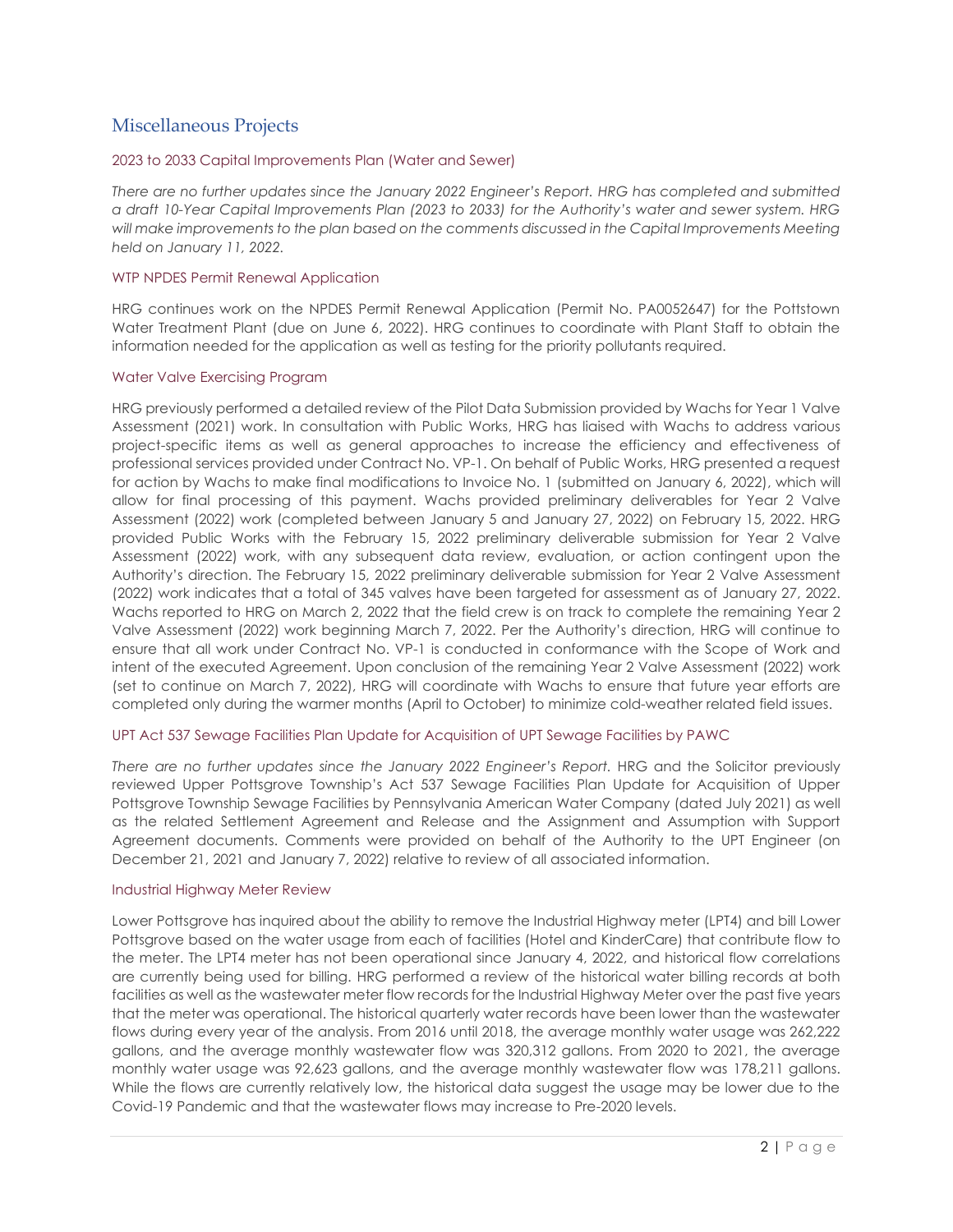# Miscellaneous Projects

### 2023 to 2033 Capital Improvements Plan (Water and Sewer)

*There are no further updates since the January 2022 Engineer's Report. HRG has completed and submitted a draft 10-Year Capital Improvements Plan (2023 to 2033) for the Authority's water and sewer system. HRG will make improvements to the plan based on the comments discussed in the Capital Improvements Meeting held on January 11, 2022.*

#### WTP NPDES Permit Renewal Application

HRG continues work on the NPDES Permit Renewal Application (Permit No. PA0052647) for the Pottstown Water Treatment Plant (due on June 6, 2022). HRG continues to coordinate with Plant Staff to obtain the information needed for the application as well as testing for the priority pollutants required.

#### Water Valve Exercising Program

HRG previously performed a detailed review of the Pilot Data Submission provided by Wachs for Year 1 Valve Assessment (2021) work. In consultation with Public Works, HRG has liaised with Wachs to address various project-specific items as well as general approaches to increase the efficiency and effectiveness of professional services provided under Contract No. VP-1. On behalf of Public Works, HRG presented a request for action by Wachs to make final modifications to Invoice No. 1 (submitted on January 6, 2022), which will allow for final processing of this payment. Wachs provided preliminary deliverables for Year 2 Valve Assessment (2022) work (completed between January 5 and January 27, 2022) on February 15, 2022. HRG provided Public Works with the February 15, 2022 preliminary deliverable submission for Year 2 Valve Assessment (2022) work, with any subsequent data review, evaluation, or action contingent upon the Authority's direction. The February 15, 2022 preliminary deliverable submission for Year 2 Valve Assessment (2022) work indicates that a total of 345 valves have been targeted for assessment as of January 27, 2022. Wachs reported to HRG on March 2, 2022 that the field crew is on track to complete the remaining Year 2 Valve Assessment (2022) work beginning March 7, 2022. Per the Authority's direction, HRG will continue to ensure that all work under Contract No. VP-1 is conducted in conformance with the Scope of Work and intent of the executed Agreement. Upon conclusion of the remaining Year 2 Valve Assessment (2022) work (set to continue on March 7, 2022), HRG will coordinate with Wachs to ensure that future year efforts are completed only during the warmer months (April to October) to minimize cold-weather related field issues.

### UPT Act 537 Sewage Facilities Plan Update for Acquisition of UPT Sewage Facilities by PAWC

There are no further updates since the January 2022 Engineer's Report. HRG and the Solicitor previously reviewed Upper Pottsgrove Township's Act 537 Sewage Facilities Plan Update for Acquisition of Upper Pottsgrove Township Sewage Facilities by Pennsylvania American Water Company (dated July 2021) as well as the related Settlement Agreement and Release and the Assignment and Assumption with Support Agreement documents. Comments were provided on behalf of the Authority to the UPT Engineer (on December 21, 2021 and January 7, 2022) relative to review of all associated information.

#### Industrial Highway Meter Review

Lower Pottsgrove has inquired about the ability to remove the Industrial Highway meter (LPT4) and bill Lower Pottsgrove based on the water usage from each of facilities (Hotel and KinderCare) that contribute flow to the meter. The LPT4 meter has not been operational since January 4, 2022, and historical flow correlations are currently being used for billing. HRG performed a review of the historical water billing records at both facilities as well as the wastewater meter flow records for the Industrial Highway Meter over the past five years that the meter was operational. The historical quarterly water records have been lower than the wastewater flows during every year of the analysis. From 2016 until 2018, the average monthly water usage was 262,222 gallons, and the average monthly wastewater flow was 320,312 gallons. From 2020 to 2021, the average monthly water usage was 92,623 gallons, and the average monthly wastewater flow was 178,211 gallons. While the flows are currently relatively low, the historical data suggest the usage may be lower due to the Covid-19 Pandemic and that the wastewater flows may increase to Pre-2020 levels.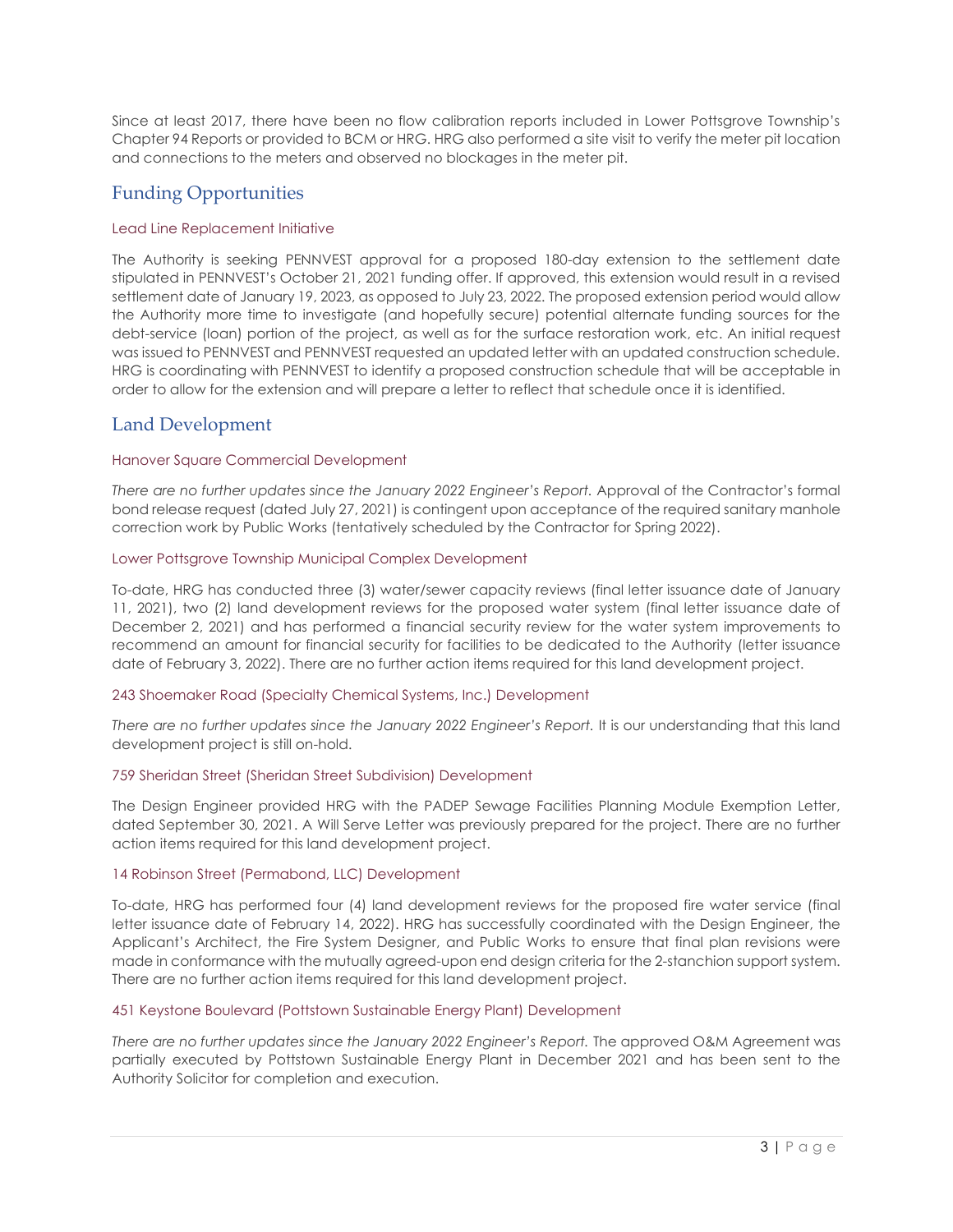Since at least 2017, there have been no flow calibration reports included in Lower Pottsgrove Township's Chapter 94 Reports or provided to BCM or HRG. HRG also performed a site visit to verify the meter pit location and connections to the meters and observed no blockages in the meter pit.

# Funding Opportunities

## Lead Line Replacement Initiative

The Authority is seeking PENNVEST approval for a proposed 180-day extension to the settlement date stipulated in PENNVEST's October 21, 2021 funding offer. If approved, this extension would result in a revised settlement date of January 19, 2023, as opposed to July 23, 2022. The proposed extension period would allow the Authority more time to investigate (and hopefully secure) potential alternate funding sources for the debt-service (loan) portion of the project, as well as for the surface restoration work, etc. An initial request was issued to PENNVEST and PENNVEST requested an updated letter with an updated construction schedule. HRG is coordinating with PENNVEST to identify a proposed construction schedule that will be acceptable in order to allow for the extension and will prepare a letter to reflect that schedule once it is identified.

# Land Development

### Hanover Square Commercial Development

*There are no further updates since the January 2022 Engineer's Report.* Approval of the Contractor's formal bond release request (dated July 27, 2021) is contingent upon acceptance of the required sanitary manhole correction work by Public Works (tentatively scheduled by the Contractor for Spring 2022).

### Lower Pottsgrove Township Municipal Complex Development

To-date, HRG has conducted three (3) water/sewer capacity reviews (final letter issuance date of January 11, 2021), two (2) land development reviews for the proposed water system (final letter issuance date of December 2, 2021) and has performed a financial security review for the water system improvements to recommend an amount for financial security for facilities to be dedicated to the Authority (letter issuance date of February 3, 2022). There are no further action items required for this land development project.

### 243 Shoemaker Road (Specialty Chemical Systems, Inc.) Development

*There are no further updates since the January 2022 Engineer's Report.* It is our understanding that this land development project is still on-hold.

### 759 Sheridan Street (Sheridan Street Subdivision) Development

The Design Engineer provided HRG with the PADEP Sewage Facilities Planning Module Exemption Letter, dated September 30, 2021. A Will Serve Letter was previously prepared for the project. There are no further action items required for this land development project.

### 14 Robinson Street (Permabond, LLC) Development

To-date, HRG has performed four (4) land development reviews for the proposed fire water service (final letter issuance date of February 14, 2022). HRG has successfully coordinated with the Design Engineer, the Applicant's Architect, the Fire System Designer, and Public Works to ensure that final plan revisions were made in conformance with the mutually agreed-upon end design criteria for the 2-stanchion support system. There are no further action items required for this land development project.

### 451 Keystone Boulevard (Pottstown Sustainable Energy Plant) Development

*There are no further updates since the January 2022 Engineer's Report.* The approved O&M Agreement was partially executed by Pottstown Sustainable Energy Plant in December 2021 and has been sent to the Authority Solicitor for completion and execution.